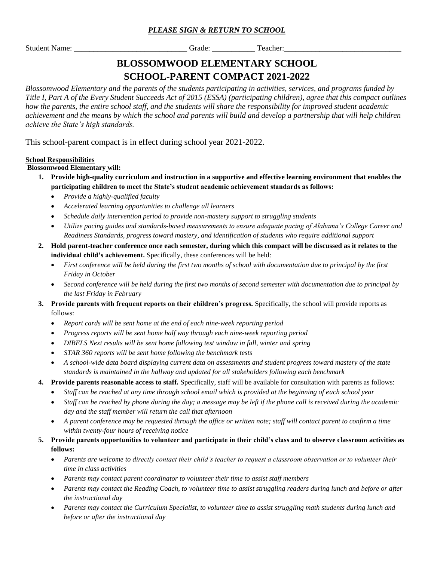## *PLEASE SIGN & RETURN TO SCHOOL*

Student Name: The Student Name: Teacher:  $G$ rade: Teacher: Teacher:

# **BLOSSOMWOOD ELEMENTARY SCHOOL SCHOOL-PARENT COMPACT 2021-2022**

*Blossomwood Elementary and the parents of the students participating in activities, services, and programs funded by Title I, Part A of the Every Student Succeeds Act of 2015 (ESSA) (participating children), agree that this compact outlines how the parents, the entire school staff, and the students will share the responsibility for improved student academic achievement and the means by which the school and parents will build and develop a partnership that will help children achieve the State's high standards.*

This school-parent compact is in effect during school year 2021-2022.

#### **School Responsibilities**

 **Blossomwood Elementary will:** 

- **1. Provide high-quality curriculum and instruction in a supportive and effective learning environment that enables the participating children to meet the State's student academic achievement standards as follows:**
	- *Provide a highly-qualified faculty*
	- *Accelerated learning opportunities to challenge all learners*
	- *Schedule daily intervention period to provide non-mastery support to struggling students*
	- *Utilize pacing guides and standards-based measurements to ensure adequate pacing of Alabama's College Career and Readiness Standards, progress toward mastery, and identification of students who require additional support*
- **2. Hold parent-teacher conference once each semester, during which this compact will be discussed as it relates to the individual child's achievement.** Specifically, these conferences will be held:
	- *First conference will be held during the first two months of school with documentation due to principal by the first Friday in October*
	- *Second conference will be held during the first two months of second semester with documentation due to principal by the last Friday in February*
- **3. Provide parents with frequent reports on their children's progress.** Specifically, the school will provide reports as follows:
	- *Report cards will be sent home at the end of each nine-week reporting period*
	- *Progress reports will be sent home half way through each nine-week reporting period*
	- *DIBELS Next results will be sent home following test window in fall, winter and spring*
	- *STAR 360 reports will be sent home following the benchmark tests*
	- *A school-wide data board displaying current data on assessments and student progress toward mastery of the state standards is maintained in the hallway and updated for all stakeholders following each benchmark*

## **4. Provide parents reasonable access to staff.** Specifically, staff will be available for consultation with parents as follows:

- *Staff can be reached at any time through school email which is provided at the beginning of each school year*
- *Staff can be reached by phone during the day; a message may be left if the phone call is received during the academic day and the staff member will return the call that afternoon*
- *A parent conference may be requested through the office or written note; staff will contact parent to confirm a time within twenty-four hours of receiving notice*
- **5. Provide parents opportunities to volunteer and participate in their child's class and to observe classroom activities as follows:** 
	- *Parents are welcome to directly contact their child's teacher to request a classroom observation or to volunteer their time in class activities*
	- *Parents may contact parent coordinator to volunteer their time to assist staff members*
	- *Parents may contact the Reading Coach, to volunteer time to assist struggling readers during lunch and before or after the instructional day*
	- *Parents may contact the Curriculum Specialist, to volunteer time to assist struggling math students during lunch and before or after the instructional day*